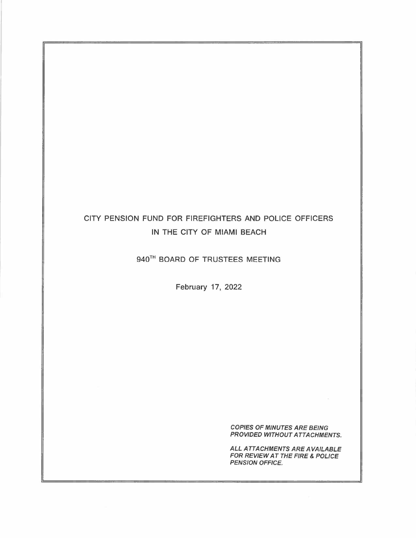# CITY PENSION FUND FOR FIREFIGHTERS AND POLICE OFFICERS IN THE CITY OF **MIAMI** BEACH

940<sup>TH</sup> BOARD OF TRUSTEES MEETING

February 17, 2022

*COPIES OF MINUTES ARE BEING PROVIDED WITHOUT ATTACHMENTS.* 

*ALL ATTACHMENTS ARE AVAILABLE FOR REVIEW AT THE FIRE* & *POLICE PENSION OFFICE.*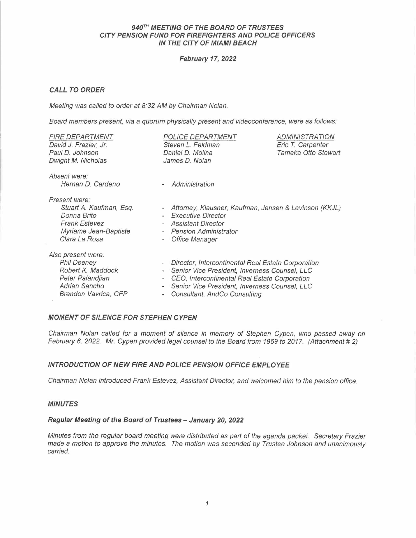## *940"% MEETING OF THE BOARD OF TRUSTEES CITY PENSION FUND FOR FIREFIGHTERS AND POLICE OFFICERS IN THE CITY OF MIAMI BEACH*

## *February 17, 2022*

## *CALL TO ORDER*

*Meeting was called to order at 8:32 AM by Chairman Nolan.* 

*Board members present, via a quorum physically present and videoconference, were as follows:* 

| <b>FIRE DEPARTMENT</b><br>David J. Frazier, Jr.<br>Paul D. Johnson<br>Dwight M. Nicholas                                   | <b>POLICE DEPARTMENT</b><br>Steven L. Feldman<br>Daniel D. Molina<br>James D. Nolan                                                                                                                                                                         | <b>ADMINISTRATION</b><br>Eric T. Carpenter<br>Tameka Otto Stewart |
|----------------------------------------------------------------------------------------------------------------------------|-------------------------------------------------------------------------------------------------------------------------------------------------------------------------------------------------------------------------------------------------------------|-------------------------------------------------------------------|
| Absent were:<br>Hernan D. Cardeno                                                                                          | Administration<br>$\overline{\phantom{a}}$                                                                                                                                                                                                                  |                                                                   |
| Present were:<br>Stuart A. Kaufman, Esq.<br>Donna Brito<br><b>Frank Estevez</b><br>Myriame Jean-Baptiste<br>Clara La Rosa  | Attorney, Klausner, Kaufman, Jensen & Levinson (KKJL)<br>$\overline{\phantom{a}}$<br>- Executive Director<br><b>Assistant Director</b><br><b>Pension Administrator</b><br>$\overline{\phantom{a}}$<br><b>Office Manager</b><br>$\qquad \qquad \blacksquare$ |                                                                   |
| Also present were:<br><b>Phil Deeney</b><br>Robert K. Maddock<br>Peter Palandjian<br>Adrian Sancho<br>Brendon Vavrica, CFP | Director, Intercontinental Real Estate Corporation<br>Senior Vice President, Inverness Counsel, LLC<br>CEO, Intercontinental Real Estate Corporation<br>Senior Vice President, Inverness Counsel, LLC<br>Consultant, AndCo Consulting                       |                                                                   |

## *MOMENT OF SILENCE FOR STEPHEN CYPEN*

*Chairman Nolan called for a moment of silence in memory of Stephen Cypen, who passed away on February 6, 2022. Mr. Cypen provided legal counsel to the Board from 1969 to 2017. (Attachment # 2)* 

## *INTRODUCTION OF NEW FIRE AND POLICE PENSION OFFICE EMPLOYEE*

*Chairman Nolan introduced Frank Estevez, Assistant Director, and welcomed him to the pension office.* 

## *MINUTES*

# *Regular Meeting of the Board of Trustees - January 20, 2022*

*Minutes from the regular board meeting were distributed as part of the agenda packet. Secretary Frazier made a motion to approve the minutes. The motion was seconded by Trustee Johnson and unanimously carried.*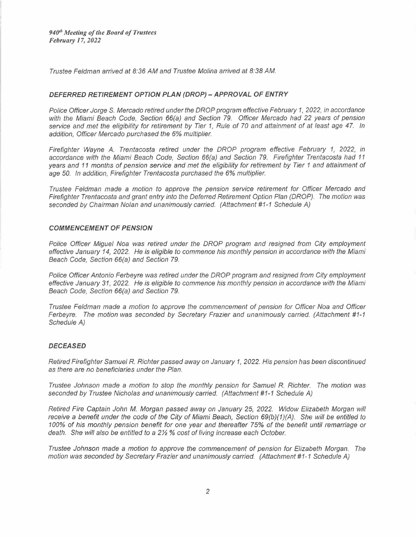*940 Meeting of the Board of Trustees February 17, 2022* 

*Trustee Feldman arrived at 8:36 AM and Trustee Molina arrived at 8:38 AM.* 

#### *DEFERRED RETIREMENT OPTION PLAN (DROP) - APPROVAL OF ENTRY*

*Police Officer Jorge S. Mercado retired under the DROP program effective February 1, 2022, in accordance with the Miami Beach Code, Section 66(a) and Section 79. Officer Mercado had 22 years of pension service and met the eligibility for retirement by Tier 1, Rule of 70 and attainment of at least age 47. In addition, Officer Mercado purchased the 6% multiplier.* 

*Firefighter Wayne A. Trentacosta retired under the DROP program effective February 1, 2022, in accordance with the Miami Beach Code, Section 66(a) and Section 79. Firefighter Trentacosta had 11 years and 11 months of pension service and met the eligibility for retirement by Tier 1 and attainment of age 50. In addition, Firefighter Trentacosta purchased the 6% multiplier.* 

*Trustee Feldman made* a *motion to approve the pension service retirement for Officer Mercado and Firefighter Trentacosta and grant entry into the Deferred Retirement Option Plan (DROP). The motion was seconded by Chairman Nolan and unanimous/y carried. (Attachment #1-1 Schedule A)* 

#### *COMMENCEMENT OF PENSION*

*Police Officer Miguel Noa was retired under the DROP program and resigned from City employment effective January 14, 2022. He is eligible to commence his monthly pension in accordance with the Miami Beach Code, Section 66(a) and Section 79.* 

*Police Officer Antonio Ferbeyre was retired under the DROP program and resigned from City employment effective January 31, 2022. He is eligible to commence his monthly pension in accordance with the Miami Beach Code, Section 66(a) and Section 79.* 

*Trustee Feldman made* a *motion to approve the commencement of pension for Officer Noa and Officer Ferbeyre. The motion was seconded by Secretary Frazier and unanimously carried. (Attachment #1-1 Schedule A)* 

#### *DECEASED*

*Retired Firefighter Samuel R. Richter passed away on January 1, 2022. His pension has been discontinued as there are no beneficiaries under the Plan.* 

*Trustee Johnson made a motion to stop the monthly pension for Samuel R. Richter. The motion was seconded by Trustee Nicholas and unanimous/y carried. (Attachment #1-1 Schedule A)* 

*Retired Fire Captain John M. Morgan passed away on January 25, 2022. Widow Elizabeth Morgan will receive a benefit under the code of the City of Miami Beach, Section 69(b)(1)(A). She will be entitled to 100% of his monthly pension benefit for one year and thereafter* 75% *of the benefit until remarriage or death. She will also be entitled to a 2½* % *cost of living increase each October.* 

*Trustee Johnson made a motion to approve the commencement of pension for Elizabeth Morgan. The motion was seconded by Secretary Frazier and unanimously carried. (Attachment #1-1 Schedule A)*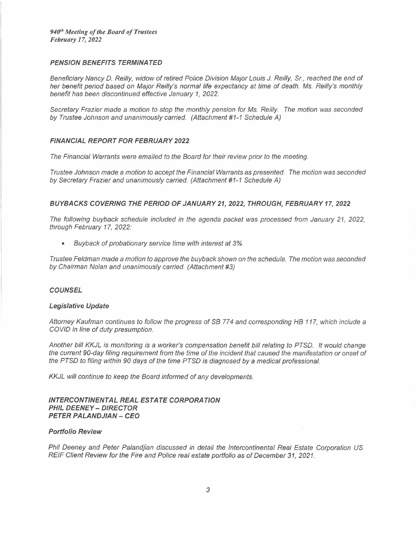## *PENSION BENEFITS TERMINA TED*

*Beneficiary Nancy D. Reilly, widow of retired Police Division Major Louis J. Reilly, Sr., reached the end of her benefit period based on Major Reilly's normal life expectancy at time of death. Ms. Reilly's monthly benefit has been discontinued effective January 1, 2022.* 

*Secretary Frazier made* a *motion to stop the monthly pension for Ms. Reilly. The motion was seconded by Trustee Johnson and unanimous/y carried. (Attachment #1-1 Schedule A)* 

## *FINANCIAL REPORT FOR FEBRUARY 2022*

*The Financial Warrants were emailed to the Board for their review prior to the meeting.* 

*Trustee Johnson made* a *motion to accept the Financial Warrants as presented. The motion was seconded by Secretary Frazier and unanimously carried. (Attachment #1-1 Schedule A)* 

## *BUYBACKS COVERING THE PERIOD OF JANUARY 21, 2022, THROUGH, FEBRUARY 17, 2022*

The following buyback schedule included in the agenda packet was processed from January 21, 2022, *through February 17, 2022:* 

*• Buyback of probationary service time with interest at 3%* 

*Trustee Feldman made* a *motion to approve the buyback shown on the schedule. The motion was seconded by Chairman Nolan and unanimously carried. (Attachment #3)* 

## *COUNSEL*

#### *Legislative Update*

*Attorney Kaufman continues to follow the progress of SB* 77 *4 and corresponding HB 117, which include* <sup>a</sup> *GOV/O in line of duty presumption.* 

*Another bill KKJL is monitoring is* a *worker's compensation benefit bill relating to PTSD. It would change the current 90-day filing requirement from the time of the incident that caused the manifestation or onset of the PTSD to filing within 90 days of the time PTSD is diagnosed by a medical professional.* 

*KKJL will continue to keep the Board informed of any developments.* 

#### *INTERCONTINENTAL REAL ESTATE CORPORATION PHIL DEENEY - DIRECTOR PETER PALANDJIAN - CEO*

## *Portfolio Review*

*Phil Deeney and Peter Palandjian discussed in detail the Intercontinental Real Estate Corporation US REIF Client Review for the Fire and Police real estate portfolio as of December 31, 2021.*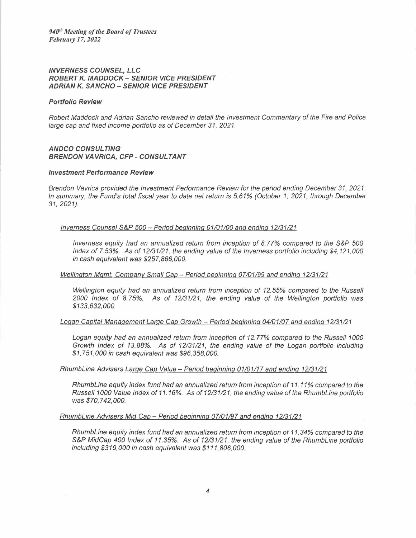#### *INVERNESS COUNSEL, LLC ROBERT K. MADDOCK - SENIOR VICE PRESIDENT ADRIAN K. SANCHO -- SENIOR VICE PRESIDENT*

#### *Portfolio Review*

*Robert Maddock and Adrian Sancho reviewed in detail the Investment Commentary of the Fire and Police large cap and fixed income portfolio as of December 31, 2021.* 

## *ANDCO CONSUL TING BRENDON VAVRICA, CFP - CONSULTANT*

#### *Investment Performance Review*

*Brendon Vavrica provided the Investment Performance Review for the period ending December 31, 2021. In summary, the Fund's total fiscal year to date net return is 5.61% (October 1, 2021, through December 31, 2021).* 

#### *Inverness Counsel S&P 500- Period beginning 01101/00 and ending 12131/21*

*Inverness equity had an annualized return from inception of 8.77% compared to the S&P 500 Index of 7.53%. As of 12/31/21, the ending value of the Inverness portfolio including \$4,121,000 in cash equivalent was \$257,866,000.* 

#### *Wellington Mgmt. Company Small Cap- Period beginning 07101/99 and ending 12/31/21*

*Wellington equity had an annualized return from inception of 12. 55% compared to the Russell 2000 Index of 8.* 75%. *As of 12/31/21, the ending value of the Wellington portfolio was \$133,632,000.* 

## *Logan Capital Management Large Cap Growth - Period beginning 04101/07 and ending 12131/21*

Logan equity had an annualized return from inception of 12.77% compared to the Russell 1000 *Growth Index of 13.88%. As of 12/31/21, the ending value of the Logan portfolio including \$1,751,000 in cash equivalent was \$96,358,000.* 

## *RhumbLine Advisers Large Cap Value - Period beginning 01101/17 and ending 12/31/21*

*RhumbLine equity index fund had an annualized return from inception 0f 11.11* % *compared to the Russe/11000 Value Index of 11.16%. As of 12/31/21, the ending value of the RhumbLine portfolio was \$70,742,000.* 

#### *RhumbLine Advisers Mid Cap- Period beginning 07101/97 and ending 12131/21*

*RhumbLine equity index fund had an annualized return from inception of 11.34% compared to the*  S&P MidCap 400 Index of 11.35%. As of 12/31/21, the ending value of the RhumbLine portfolio *including \$319,000 in cash equivalent was \$111,806,000.*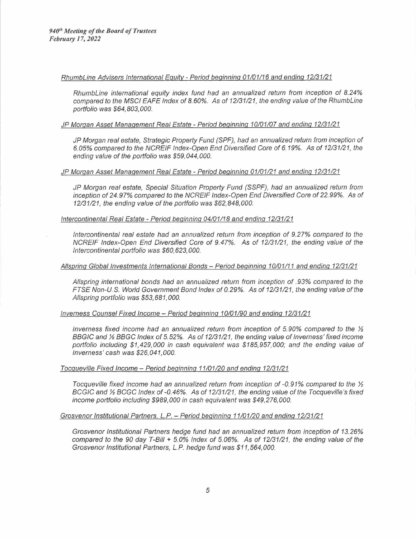#### *RhumbLine Advisers International Equitv- Period beginning 01101/16 and ending 12131/21*

*RhumbLine international equity index fund had an annualized return from inception of 8.24% compared to the MSC/ EAFE Index of 8. 60%. As of 12131/21, the ending value of the RhumbLine portfolio was \$64,803,000.* 

#### *JP Morgan Asset Management Real Estate - Period beginning 10/01/07 and ending 12/31121*

*JP Morgan real estate, Strategic Property Fund (SPF), had an annualized return from inception of 6.05% compared to the NCREIF Index-Open End Diversified Core of 6.19%. As of 12131/21, the ending value of the portfolio was \$59,044,000.* 

#### *JP Morgan Asset Management Real Estate - Period beginning 01/01/21 and ending 12131/21*

*JP Morgan real estate, Special Situation Property Fund (SSPF), had an annualized return from inception of 24.97% compared to the NCREIF Index-Open End Diversified Core of 22.99%. As of 12/31/21, the ending value of the portfolio was \$62,848,000.* 

#### *Intercontinental Real Estate - Period beginning 04/01118 and ending 12/31121*

*Intercontinental real estate had an annualized return from inception of 9.27% compared to the NCREIF Index-Open End Diversified Core of 9.47%. As of 12/31121, the ending value of the Intercontinental portfolio was \$60,623,000.* 

#### *Al/spring Global Investments International Bonds - Period beginning 10/01/11 and ending 12/31/21*

*Al/spring international bonds had an annualized return from inception of.93% compared to the FTSE Non-U* S. *World Government Bond Index of 0.29%. As of 12131/21, the ending value of the Al/spring portfolio was \$53,681,000.* 

#### *Inverness Counsel Fixed Income - Period beginning 10/01190 and ending 12131/21*

*Inverness fixed income had an annualized return from inception of 5.90% compared to the 1/2 BBGIC and 1/2 BBGC Index of 5.52%. As of 12/31/21, the ending value of Inverness' fixed income BBGIC and 1/<sub>2</sub> BBGC Index of 5.52%. As of 12/31/21, the ending value of Inverness' fixed income portfolio including \$1,429,000 in cash equivalent was \$185,957,000; and the ending value of Inverness' cash was \$26,041,000.* 

## *Tocqueville Fixed Income - Period beginning 11101/20 and ending 12131/21*

*Tocqueville fixed income had an annualized return from inception of -0.91% compared to the½ BCGIC and 1/2 BCGC Index of -0.46%. As of 12/31/21, the ending value of the Tocqueville's fixed* income portfolio including \$989,000 in cash equivalent was \$49,276,000.

#### *Grosvenor Institutional Partners, L.P.- Period beginning 11101120 and ending 12131/21*

*Grosvenor Institutional Partners hedge fund had an annualized return from inception of 13.26% compared to the 90 day T-Bi/1* + *5.0% Index of 5.06%. As of 12131/21, the ending value of the Grosvenor Institutional Partners, L. P. hedge fund was \$11,564,000.*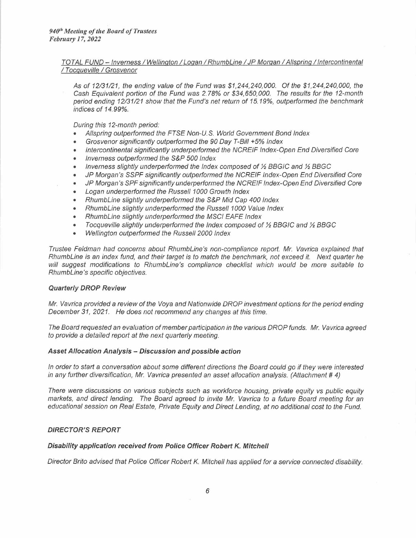## *TOT AL FUND -- Inverness I Wellington I Logan I RhumbLíne I JP Morgan I Al/spring I Intercontinental I Tocqueville I Grosvenor*

*As of 12/31/21, the ending value of the Fund was \$1,244,240,000. Of the \$1,244,240,000, the Cash Equivalent portion of the Fund was 2. 78% or \$34,650,000. The results for the 12-month period ending 12/31/21 show that the Fund's net return of 15.19%, outperformed the benchmark*  period ending 12/31/21 show that the Fund's net return of 15.19%, outperformed the benchmark indices of 14.99%.

*During this 12-month period:* 

- *Al/spring outperformed the FTSE Non-U.* S. *World Government Bond Index*
- *Grosvenor significantly outperformed the 90 Day T-Bí/1 +5% Index*
- *Intercontinental significantly underperformed the NCREIF Index-Open End Diversified Core*
- *Inverness outperformed the* S&P *500 Index*
- *Inverness slightly underperformed the Index composed of½ BBGIC and ½ BBGC*
- *JP Morgan's* SSPF *significantly outperformed the NCREIF Index-Open End Diversified Core*
- *JP Morgan's SPF significantly underperformed the NCREIF Index-Open End Diversified Core*
- *Logan underperformed the Russell 1000 Growth Index*
- *RhumbLíne slightly underperformed the* S&P *Mid Cap 400 Index*
- *RhumbLíne slightly underperformed the Russe/11000 Value Index*
- *RhumbLíne slightly underperformed the* MSC/ *EAFE Index*
- *Tocqueville slightly underperformed the Index composed of½ BBGIC and ½ BBGC*
- *Wellington outperformed the Russell 2000 Index*

*Trustee Feldman had concerns about RhumbLine's non-compliance report. Mr. Vavríca explained that RhumbLíne is an index fund, and their target is to match the benchmark, not exceed it. Next quarter he will suggest modifications to RhumbLine's compliance checklist which would be more suitable to RhumbLine's specific objectives.* 

#### *Quarterly DROP Review*

*Mr. Vavrica provided* a *review of the Voya and Nationwide DROP investment options for the period ending December 31, 2021. He does not recommend any changes at this time.* 

*The Board requested an evaluation of member participation in the various DROP funds. Mr. Vavríca agreed to provide* a *detailed report at the next quarterly meeting.* 

#### *Asset A/location Analysis - Discussion and possible action*

*In order to start* a *conversation about some different directions the Board could go if they were interested in any further diversification, Mr. Vavrica presented an asset allocation analysis. (Attachment # 4)* 

*There were discussions on various subjects such as workforce housing, prívate equity vs public equity markets, and direct lending. The Board agreed to invite Mr. Vavríca to* a *future Board meeting for an educational session on Real Estate, Prívate Equity and Direct Lending, at no additional cost to the Fund.* 

#### *DIRECTOR'S REPORT*

#### *Disability application received from Police Officer Robert K. Mitchell*

*Director Brito advised that Police Officer Robert K. Mitchell has applied for a service connected disability.*